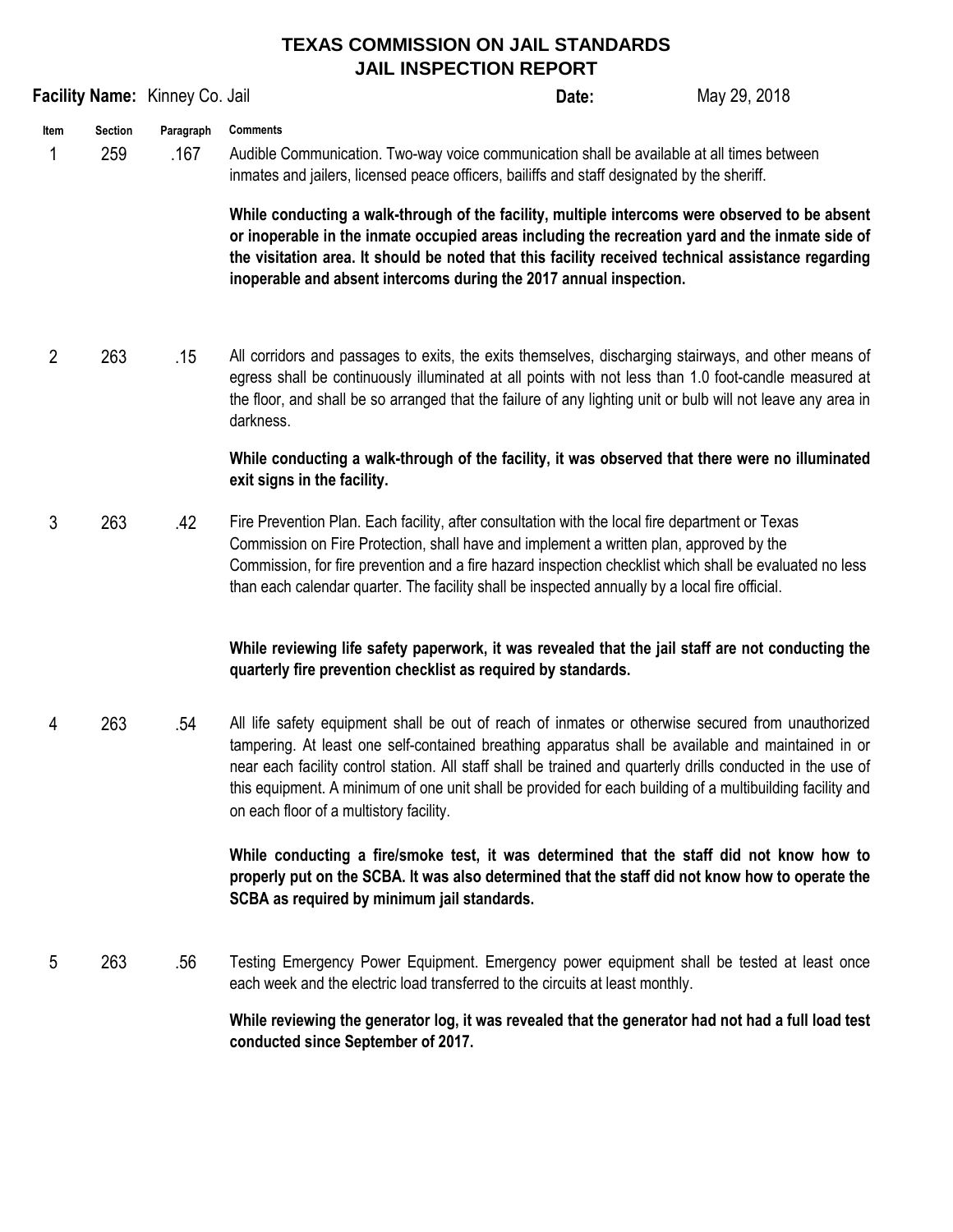## **TEXAS COMMISSION ON JAIL STANDARDS JAIL INSPECTION REPORT**

|                             |     | Facility Name: Kinney Co. Jail |                                                                                                                                                                                                                                                                                                                                                                                                                                                                                | Date: | May 29, 2018 |  |
|-----------------------------|-----|--------------------------------|--------------------------------------------------------------------------------------------------------------------------------------------------------------------------------------------------------------------------------------------------------------------------------------------------------------------------------------------------------------------------------------------------------------------------------------------------------------------------------|-------|--------------|--|
| Section<br>Item<br>259<br>1 |     | Paragraph<br>.167              | <b>Comments</b><br>Audible Communication. Two-way voice communication shall be available at all times between<br>inmates and jailers, licensed peace officers, bailiffs and staff designated by the sheriff.                                                                                                                                                                                                                                                                   |       |              |  |
|                             |     |                                | While conducting a walk-through of the facility, multiple intercoms were observed to be absent<br>or inoperable in the inmate occupied areas including the recreation yard and the inmate side of<br>the visitation area. It should be noted that this facility received technical assistance regarding<br>inoperable and absent intercoms during the 2017 annual inspection.                                                                                                  |       |              |  |
| 2                           | 263 | .15                            | All corridors and passages to exits, the exits themselves, discharging stairways, and other means of<br>egress shall be continuously illuminated at all points with not less than 1.0 foot-candle measured at<br>the floor, and shall be so arranged that the failure of any lighting unit or bulb will not leave any area in<br>darkness.                                                                                                                                     |       |              |  |
|                             |     |                                | While conducting a walk-through of the facility, it was observed that there were no illuminated<br>exit signs in the facility.                                                                                                                                                                                                                                                                                                                                                 |       |              |  |
| 3<br>263                    |     | .42                            | Fire Prevention Plan. Each facility, after consultation with the local fire department or Texas<br>Commission on Fire Protection, shall have and implement a written plan, approved by the<br>Commission, for fire prevention and a fire hazard inspection checklist which shall be evaluated no less<br>than each calendar quarter. The facility shall be inspected annually by a local fire official.                                                                        |       |              |  |
|                             |     |                                | While reviewing life safety paperwork, it was revealed that the jail staff are not conducting the<br>quarterly fire prevention checklist as required by standards.                                                                                                                                                                                                                                                                                                             |       |              |  |
| 4                           | 263 | .54                            | All life safety equipment shall be out of reach of inmates or otherwise secured from unauthorized<br>tampering. At least one self-contained breathing apparatus shall be available and maintained in or<br>near each facility control station. All staff shall be trained and quarterly drills conducted in the use of<br>this equipment. A minimum of one unit shall be provided for each building of a multibuilding facility and<br>on each floor of a multistory facility. |       |              |  |
|                             |     |                                | While conducting a fire/smoke test, it was determined that the staff did not know how to<br>properly put on the SCBA. It was also determined that the staff did not know how to operate the<br>SCBA as required by minimum jail standards.                                                                                                                                                                                                                                     |       |              |  |
| 5                           | 263 | .56                            | Testing Emergency Power Equipment. Emergency power equipment shall be tested at least once<br>each week and the electric load transferred to the circuits at least monthly.                                                                                                                                                                                                                                                                                                    |       |              |  |
|                             |     |                                | While reviewing the generator log, it was revealed that the generator had not had a full load test                                                                                                                                                                                                                                                                                                                                                                             |       |              |  |

**conducted since September of 2017.**